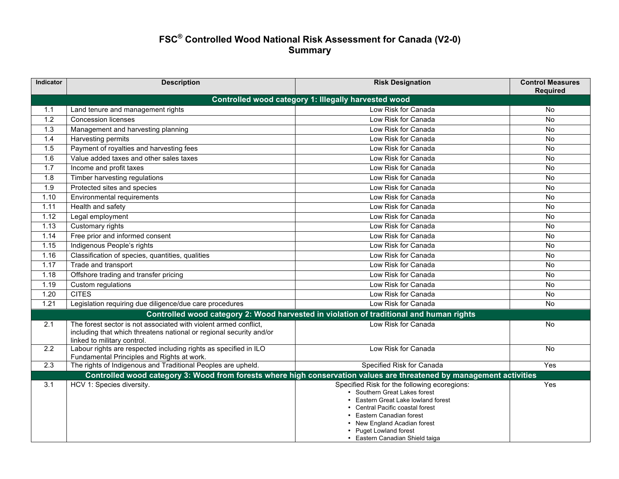## **FSC® Controlled Wood National Risk Assessment for Canada (V2-0) Summary**

| Indicator | <b>Description</b>                                                                                                                                                     | <b>Risk Designation</b>                                                                                                                                                                                                                                                         | <b>Control Measures</b><br><b>Required</b> |  |  |
|-----------|------------------------------------------------------------------------------------------------------------------------------------------------------------------------|---------------------------------------------------------------------------------------------------------------------------------------------------------------------------------------------------------------------------------------------------------------------------------|--------------------------------------------|--|--|
|           | Controlled wood category 1: Illegally harvested wood                                                                                                                   |                                                                                                                                                                                                                                                                                 |                                            |  |  |
| 1.1       | Land tenure and management rights                                                                                                                                      | Low Risk for Canada                                                                                                                                                                                                                                                             | No.                                        |  |  |
| 1.2       | <b>Concession licenses</b>                                                                                                                                             | Low Risk for Canada                                                                                                                                                                                                                                                             | No                                         |  |  |
| 1.3       | Management and harvesting planning                                                                                                                                     | Low Risk for Canada                                                                                                                                                                                                                                                             | No                                         |  |  |
| 1.4       | <b>Harvesting permits</b>                                                                                                                                              | Low Risk for Canada                                                                                                                                                                                                                                                             | No                                         |  |  |
| 1.5       | Payment of royalties and harvesting fees                                                                                                                               | Low Risk for Canada                                                                                                                                                                                                                                                             | <b>No</b>                                  |  |  |
| 1.6       | Value added taxes and other sales taxes                                                                                                                                | Low Risk for Canada                                                                                                                                                                                                                                                             | No                                         |  |  |
| 1.7       | Income and profit taxes                                                                                                                                                | Low Risk for Canada                                                                                                                                                                                                                                                             | No.                                        |  |  |
| 1.8       | Timber harvesting regulations                                                                                                                                          | Low Risk for Canada                                                                                                                                                                                                                                                             | No.                                        |  |  |
| 1.9       | Protected sites and species                                                                                                                                            | Low Risk for Canada                                                                                                                                                                                                                                                             | <b>No</b>                                  |  |  |
| 1.10      | Environmental requirements                                                                                                                                             | Low Risk for Canada                                                                                                                                                                                                                                                             | No.                                        |  |  |
| 1.11      | Health and safety                                                                                                                                                      | Low Risk for Canada                                                                                                                                                                                                                                                             | No.                                        |  |  |
| 1.12      | Legal employment                                                                                                                                                       | Low Risk for Canada                                                                                                                                                                                                                                                             | <b>No</b>                                  |  |  |
| 1.13      | Customary rights                                                                                                                                                       | Low Risk for Canada                                                                                                                                                                                                                                                             | No                                         |  |  |
| 1.14      | Free prior and informed consent                                                                                                                                        | Low Risk for Canada                                                                                                                                                                                                                                                             | No                                         |  |  |
| 1.15      | Indigenous People's rights                                                                                                                                             | Low Risk for Canada                                                                                                                                                                                                                                                             | No.                                        |  |  |
| 1.16      | Classification of species, quantities, qualities                                                                                                                       | Low Risk for Canada                                                                                                                                                                                                                                                             | <b>No</b>                                  |  |  |
| 1.17      | Trade and transport                                                                                                                                                    | Low Risk for Canada                                                                                                                                                                                                                                                             | No                                         |  |  |
| 1.18      | Offshore trading and transfer pricing                                                                                                                                  | Low Risk for Canada                                                                                                                                                                                                                                                             | No.                                        |  |  |
| 1.19      | Custom regulations                                                                                                                                                     | Low Risk for Canada                                                                                                                                                                                                                                                             | No                                         |  |  |
| 1.20      | <b>CITES</b>                                                                                                                                                           | Low Risk for Canada                                                                                                                                                                                                                                                             | <b>No</b>                                  |  |  |
| 1.21      | Legislation requiring due diligence/due care procedures                                                                                                                | Low Risk for Canada                                                                                                                                                                                                                                                             | No.                                        |  |  |
|           |                                                                                                                                                                        | Controlled wood category 2: Wood harvested in violation of traditional and human rights                                                                                                                                                                                         |                                            |  |  |
| 2.1       | The forest sector is not associated with violent armed conflict,<br>including that which threatens national or regional security and/or<br>linked to military control. | Low Risk for Canada                                                                                                                                                                                                                                                             | No.                                        |  |  |
| 2.2       | Labour rights are respected including rights as specified in ILO<br>Fundamental Principles and Rights at work.                                                         | Low Risk for Canada                                                                                                                                                                                                                                                             | No.                                        |  |  |
| 2.3       | The rights of Indigenous and Traditional Peoples are upheld.                                                                                                           | Specified Risk for Canada                                                                                                                                                                                                                                                       | Yes                                        |  |  |
|           | Controlled wood category 3: Wood from forests where high conservation values are threatened by management activities                                                   |                                                                                                                                                                                                                                                                                 |                                            |  |  |
| 3.1       | HCV 1: Species diversity.                                                                                                                                              | Specified Risk for the following ecoregions:<br>• Southern Great Lakes forest<br>Eastern Great Lake lowland forest<br>Central Pacific coastal forest<br>Eastern Canadian forest<br>New England Acadian forest<br><b>Puget Lowland forest</b><br>• Eastern Canadian Shield taiga | Yes                                        |  |  |